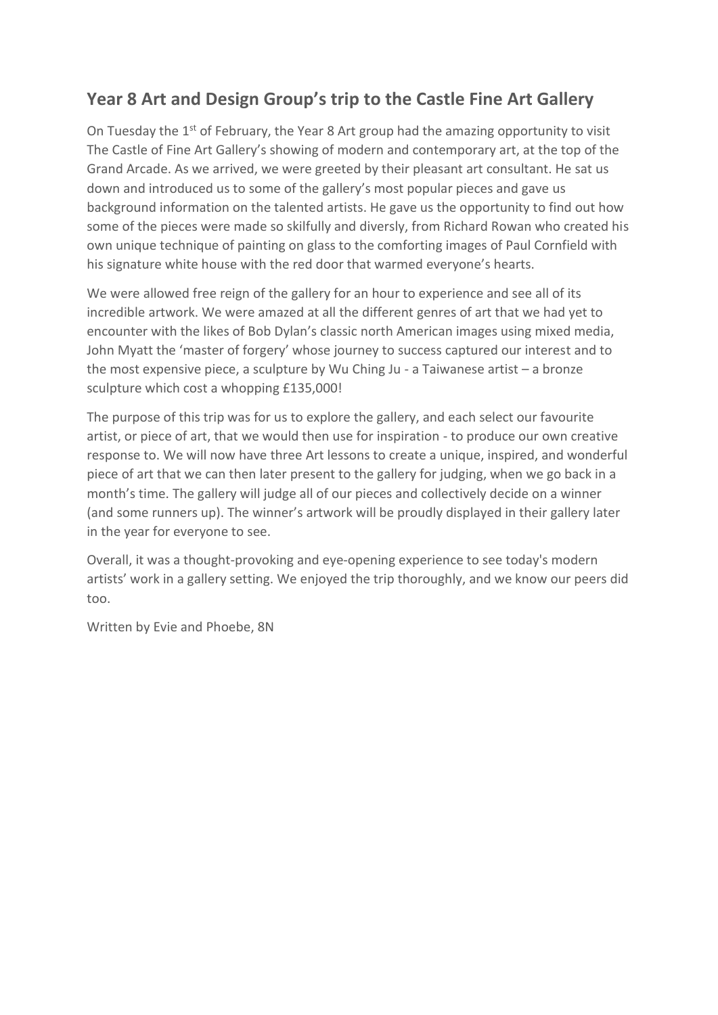## **Year 8 Art and Design Group's trip to the Castle Fine Art Gallery**

On Tuesday the  $1<sup>st</sup>$  of February, the Year 8 Art group had the amazing opportunity to visit The Castle of Fine Art Gallery's showing of modern and contemporary art, at the top of the Grand Arcade. As we arrived, we were greeted by their pleasant art consultant. He sat us down and introduced us to some of the gallery's most popular pieces and gave us background information on the talented artists. He gave us the opportunity to find out how some of the pieces were made so skilfully and diversly, from Richard Rowan who created his own unique technique of painting on glass to the comforting images of Paul Cornfield with his signature white house with the red door that warmed everyone's hearts.

We were allowed free reign of the gallery for an hour to experience and see all of its incredible artwork. We were amazed at all the different genres of art that we had yet to encounter with the likes of Bob Dylan's classic north American images using mixed media, John Myatt the 'master of forgery' whose journey to success captured our interest and to the most expensive piece, a sculpture by Wu Ching Ju - a Taiwanese artist – a bronze sculpture which cost a whopping £135,000!

The purpose of this trip was for us to explore the gallery, and each select our favourite artist, or piece of art, that we would then use for inspiration - to produce our own creative response to. We will now have three Art lessons to create a unique, inspired, and wonderful piece of art that we can then later present to the gallery for judging, when we go back in a month's time. The gallery will judge all of our pieces and collectively decide on a winner (and some runners up). The winner's artwork will be proudly displayed in their gallery later in the year for everyone to see.

Overall, it was a thought-provoking and eye-opening experience to see today's modern artists' work in a gallery setting. We enjoyed the trip thoroughly, and we know our peers did too.

Written by Evie and Phoebe, 8N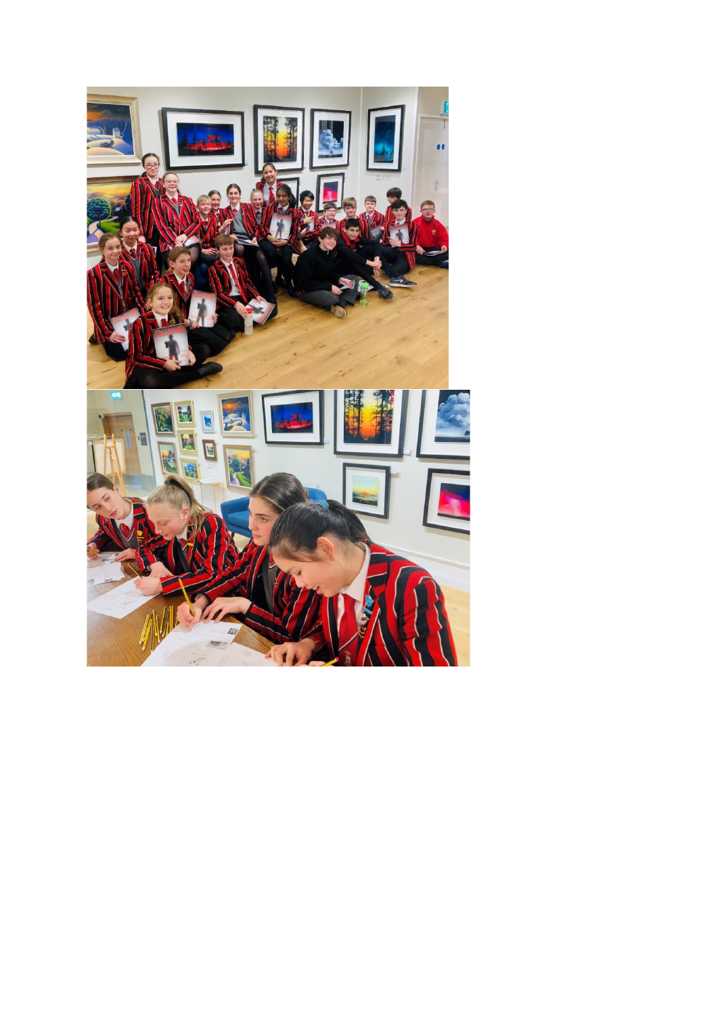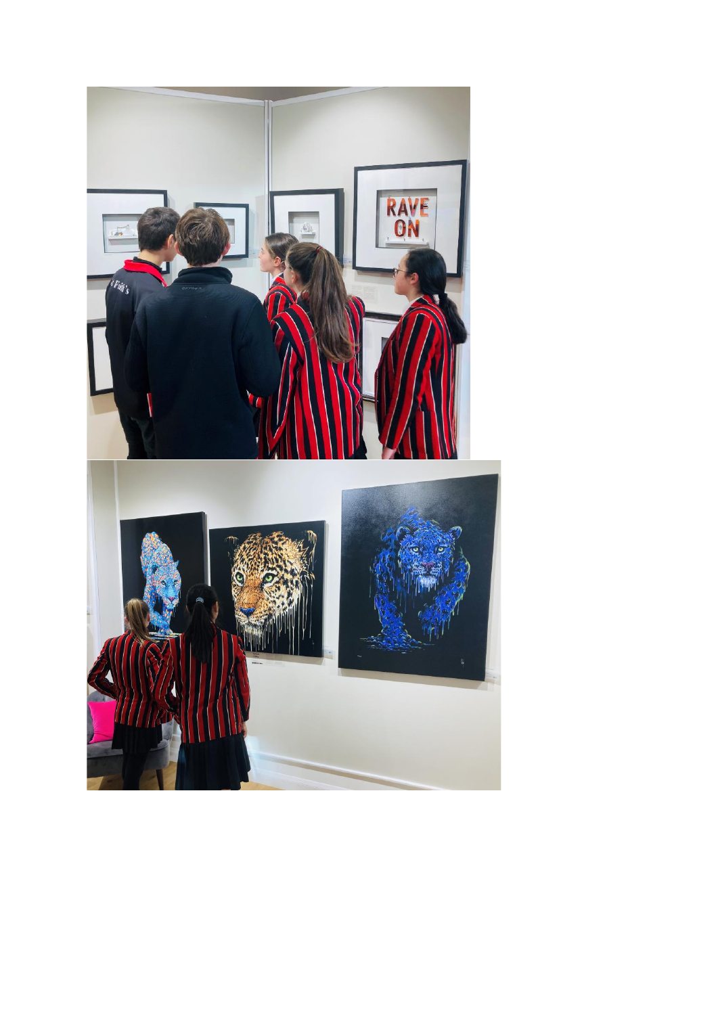